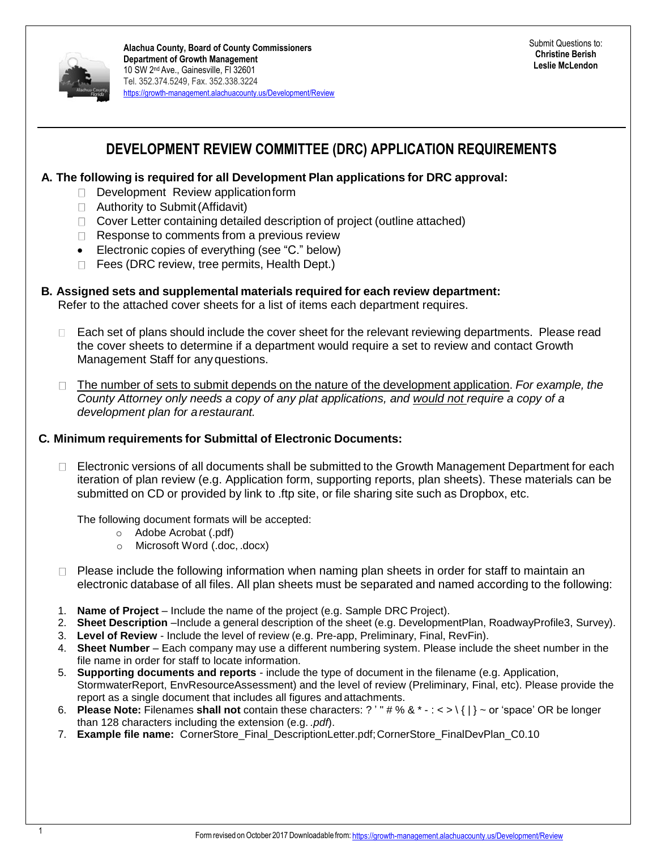

### **DEVELOPMENT REVIEW COMMITTEE (DRC) APPLICATION REQUIREMENTS**

#### **A. The following is required for all Development Plan applications for DRC approval:**

- Development Review application form
- □ Authority to Submit (Affidavit)
- $\Box$  Cover Letter containing detailed description of project (outline attached)
- $\Box$  Response to comments from a previous review
- Electronic copies of everything (see "C." below)
- $\Box$  Fees (DRC review, tree permits, Health Dept.)

#### **B. Assigned sets and supplemental materials required for each review department:**

Refer to the attached cover sheets for a list of items each department requires.

- Each set of plans should include the cover sheet for the relevant reviewing departments. Please read  $\Box$ the cover sheets to determine if a department would require a set to review and contact Growth Management Staff for anyquestions.
- The number of sets to submit depends on the nature of the development application. *For example, the*   $\Box$ *County Attorney only needs a copy of any plat applications, and would not require a copy of a development plan for arestaurant.*

#### **C. Minimum requirements for Submittal of Electronic Documents:**

Electronic versions of all documents shall be submitted to the Growth Management Department for each  $\Box$ iteration of plan review (e.g. Application form, supporting reports, plan sheets). These materials can be submitted on CD or provided by link to .ftp site, or file sharing site such as Dropbox, etc.

The following document formats will be accepted:

- o Adobe Acrobat (.pdf)
- o Microsoft Word (.doc, .docx)
- $\Box$  Please include the following information when naming plan sheets in order for staff to maintain an electronic database of all files. All plan sheets must be separated and named according to the following:
- 1. **Name of Project**  Include the name of the project (e.g. Sample DRC Project).
- 2. **Sheet Description** –Include a general description of the sheet (e.g. DevelopmentPlan, RoadwayProfile3, Survey).
- 3. **Level of Review** Include the level of review (e.g. Pre-app, Preliminary, Final, RevFin).
- 4. **Sheet Number**  Each company may use a different numbering system. Please include the sheet number in the file name in order for staff to locate information.
- 5. **Supporting documents and reports**  include the type of document in the filename (e.g. Application, StormwaterReport, EnvResourceAssessment) and the level of review (Preliminary, Final, etc). Please provide the report as a single document that includes all figures and attachments.
- 6. **Please Note:** Filenames **shall not** contain these characters: ? ' " # % & \* : < > \ { | } ~ or 'space' OR be longer than 128 characters including the extension (e.g. *.pdf*).
- 7. **Example file name:** CornerStore\_Final\_DescriptionLetter.pdf;CornerStore\_FinalDevPlan\_C0.10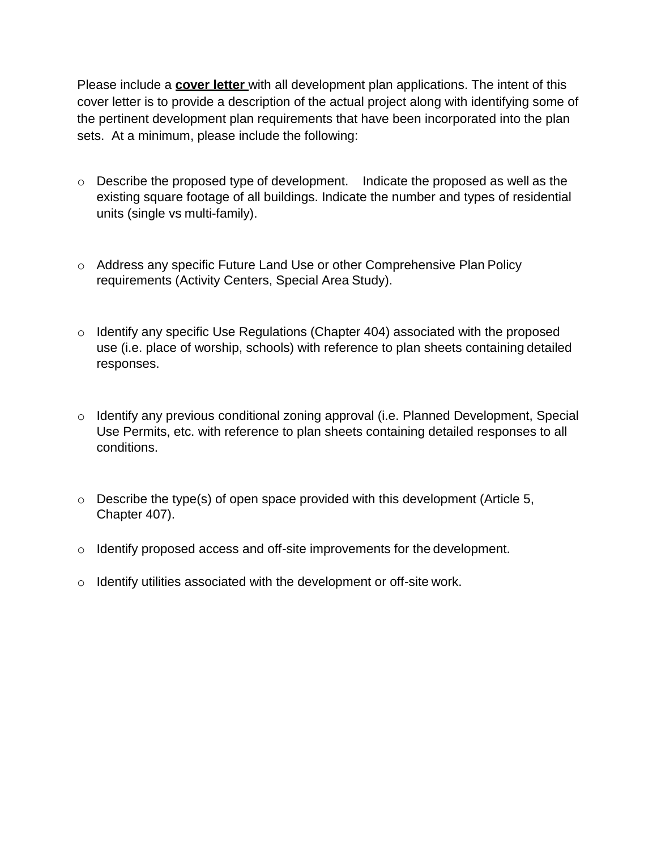Please include a **cover letter** with all development plan applications. The intent of this cover letter is to provide a description of the actual project along with identifying some of the pertinent development plan requirements that have been incorporated into the plan sets. At a minimum, please include the following:

- o Describe the proposed type of development. Indicate the proposed as well as the existing square footage of all buildings. Indicate the number and types of residential units (single vs multi-family).
- o Address any specific Future Land Use or other Comprehensive Plan Policy requirements (Activity Centers, Special Area Study).
- o Identify any specific Use Regulations (Chapter 404) associated with the proposed use (i.e. place of worship, schools) with reference to plan sheets containing detailed responses.
- o Identify any previous conditional zoning approval (i.e. Planned Development, Special Use Permits, etc. with reference to plan sheets containing detailed responses to all conditions.
- $\circ$  Describe the type(s) of open space provided with this development (Article 5, Chapter 407).
- o Identify proposed access and off-site improvements for the development.
- $\circ$  Identify utilities associated with the development or off-site work.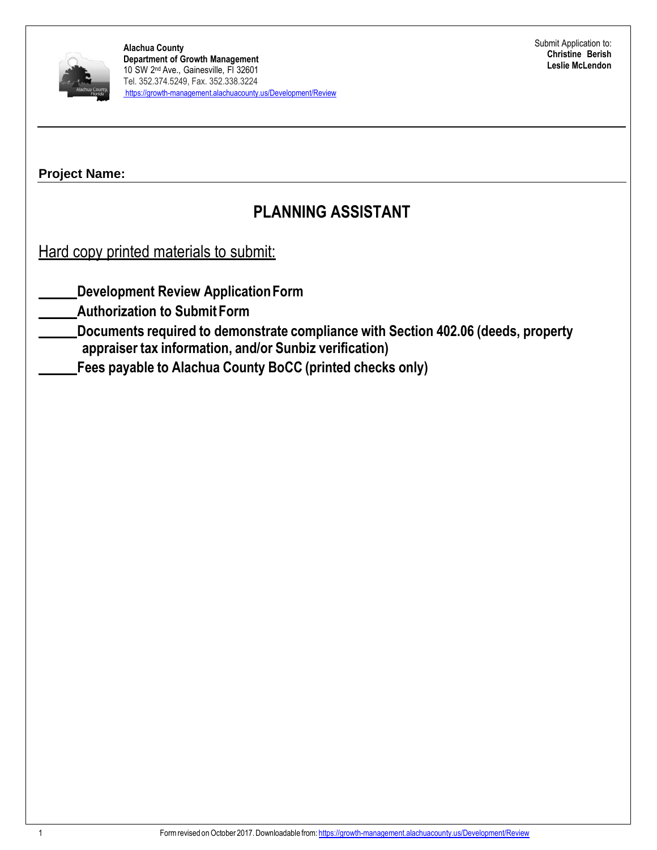

# **PLANNING ASSISTANT**

Hard copy printed materials to submit:

**Development Review ApplicationForm**

**Authorization to Submit Form**

**Documents required to demonstrate compliance with Section 402.06 (deeds, property appraiser tax information, and/or Sunbiz verification)**

**Fees payable to Alachua County BoCC (printed checks only)**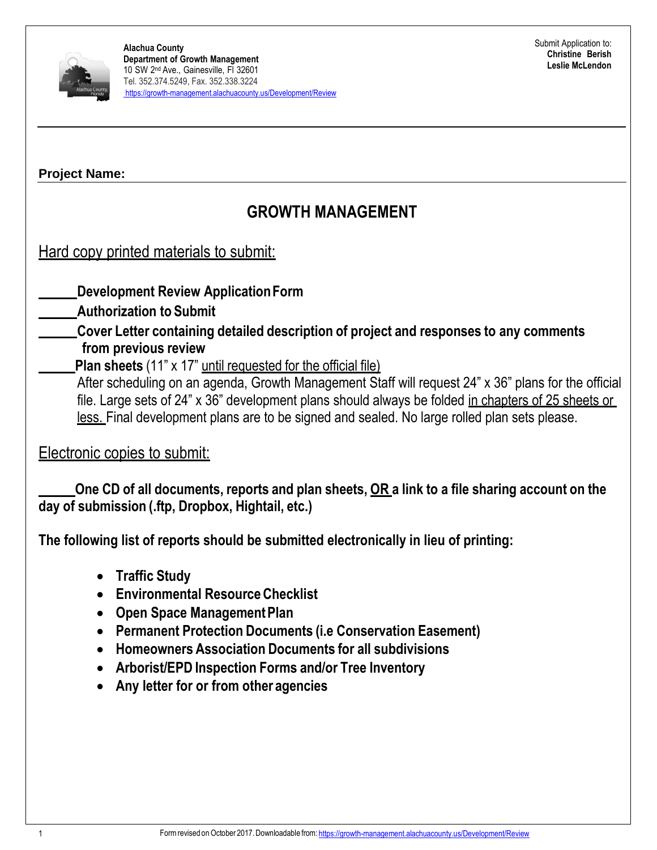

# **GROWTH MANAGEMENT**

## Hard copy printed materials to submit:

### **Development Review ApplicationForm**

### **Authorization to Submit**

**Cover Letter containing detailed description of project and responses to any comments from previous review**

### **Plan sheets** (11" x 17" until requested for the official file)

After scheduling on an agenda, Growth Management Staff will request 24" x 36" plans for the official file. Large sets of 24" x 36" development plans should always be folded in chapters of 25 sheets or less. Final development plans are to be signed and sealed. No large rolled plan sets please.

### Electronic copies to submit:

One CD of all documents, reports and plan sheets, OR a link to a file sharing account on the **day of submission (.ftp, Dropbox, Hightail, etc.)**

**The following list of reports should be submitted electronically in lieu of printing:**

- **Traffic Study**
- **Environmental ResourceChecklist**
- **Open Space ManagementPlan**
- **Permanent Protection Documents (i.e Conservation Easement)**
- **Homeowners Association Documents for all subdivisions**
- **Arborist/EPD Inspection Forms and/or Tree Inventory**
- **Any letter for or from other agencies**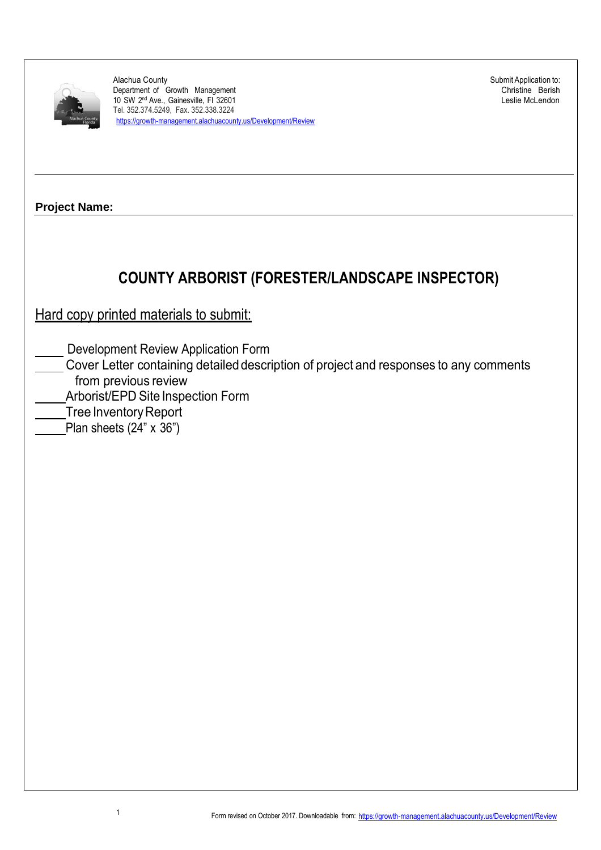

Alachua County Department of Growth Management 10 SW 2<sup>nd</sup> Ave., Gainesville, Fl 32601 Tel. 352.374.5249, Fax. 352.338.3224 https://growth-management.alachuacounty.us/Development/Review Submit Application to: Christine Berish Leslie McLendon

**Project Name:**

# **COUNTY ARBORIST (FORESTER/LANDSCAPE INSPECTOR)**

Hard copy printed materials to submit:

Development Review Application Form

- Cover Letter containing detaileddescription of project and responses to any comments from previous review
- Arborist/EPD Site Inspection Form
- **Tree Inventory Report** 
	- Plan sheets  $(24" \times 36")$

1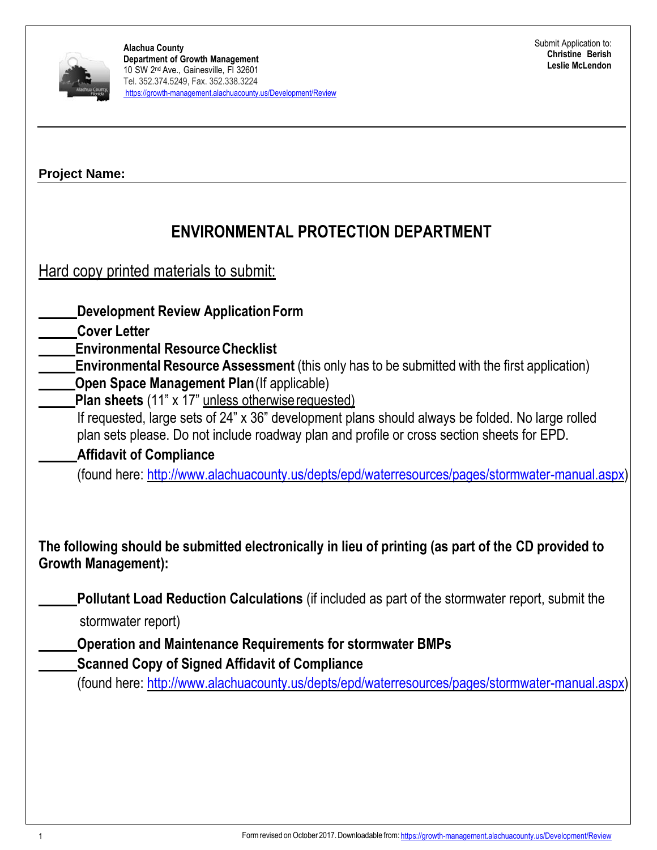

| <b>Project Name:</b> |  |
|----------------------|--|
|----------------------|--|

# **ENVIRONMENTAL PROTECTION DEPARTMENT**

Hard copy printed materials to submit:

**Development Review ApplicationForm**

**Cover Letter**

**Environmental ResourceChecklist**

**Environmental Resource Assessment** (this only has to be submitted with the first application) **Open Space Management Plan** (If applicable)

**Plan sheets** (11" x 17" unless otherwiserequested)

If requested, large sets of 24" x 36" development plans should always be folded. No large rolled plan sets please. Do not include roadway plan and profile or cross section sheets for EPD.

**Affidavit of Compliance** 

(found here: [http://www.alachuacounty.us/depts/epd/waterresources/pages/stormwater-manual.aspx\)](http://www.alachuacounty.us/depts/epd/waterresources/pages/stormwater-manual.aspx)

**The following should be submitted electronically in lieu of printing (as part of the CD provided to Growth Management):**

**Pollutant Load Reduction Calculations** (if included as part of the stormwater report, submit the

stormwater report)

**Operation and Maintenance Requirements for stormwater BMPs**

**Scanned Copy of Signed Affidavit of Compliance** 

(found here: [http://www.alachuacounty.us/depts/epd/waterresources/pages/stormwater-manual.aspx\)](http://www.alachuacounty.us/depts/epd/waterresources/pages/stormwater-manual.aspx)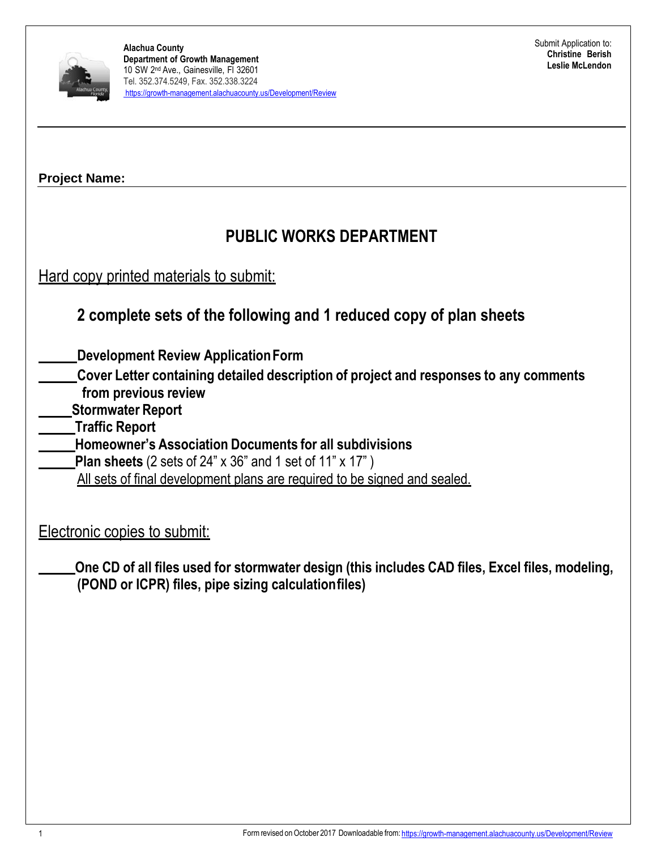

# **PUBLIC WORKS DEPARTMENT**

Hard copy printed materials to submit:

## **2 complete sets of the following and 1 reduced copy of plan sheets**

**Development Review ApplicationForm**

- **Cover Letter containing detailed description of project and responses to any comments from previous review**
- **Stormwater Report**
- **Traffic Report**
- **Homeowner's Association Documents for all subdivisions**
	- **Plan sheets** (2 sets of 24" x 36" and 1 set of 11" x 17" )
	- All sets of final development plans are required to be signed and sealed.

Electronic copies to submit:

**One CD of all files used for stormwater design (this includes CAD files, Excel files, modeling, (POND or ICPR) files, pipe sizing calculationfiles)**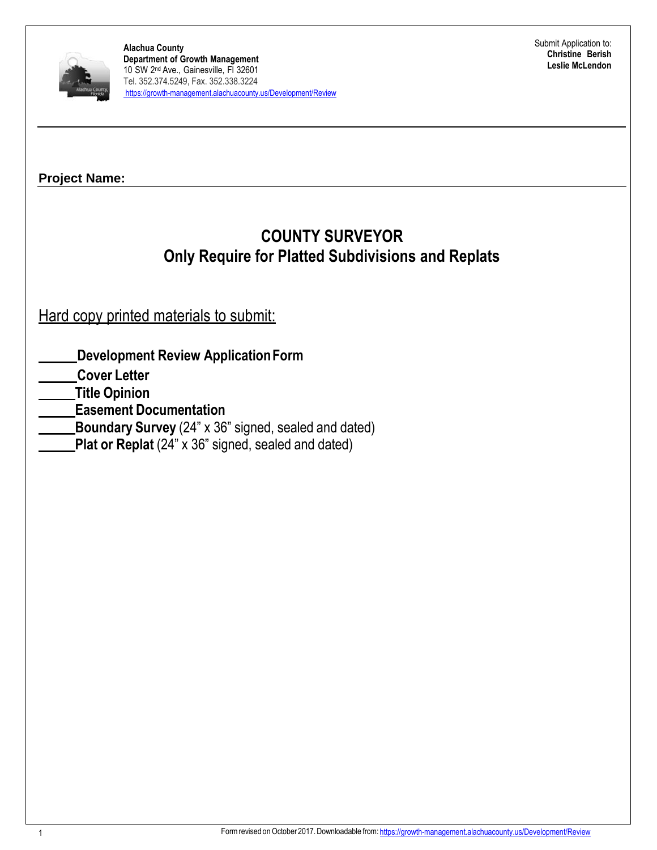

# **COUNTY SURVEYOR Only Require for Platted Subdivisions and Replats**

Hard copy printed materials to submit:

- **Development Review ApplicationForm**
- **Cover Letter**
- **Title Opinion**
- **Easement Documentation**
- **Boundary Survey** (24" x 36" signed, sealed and dated)
- **Plat or Replat** (24" x 36" signed, sealed and dated)